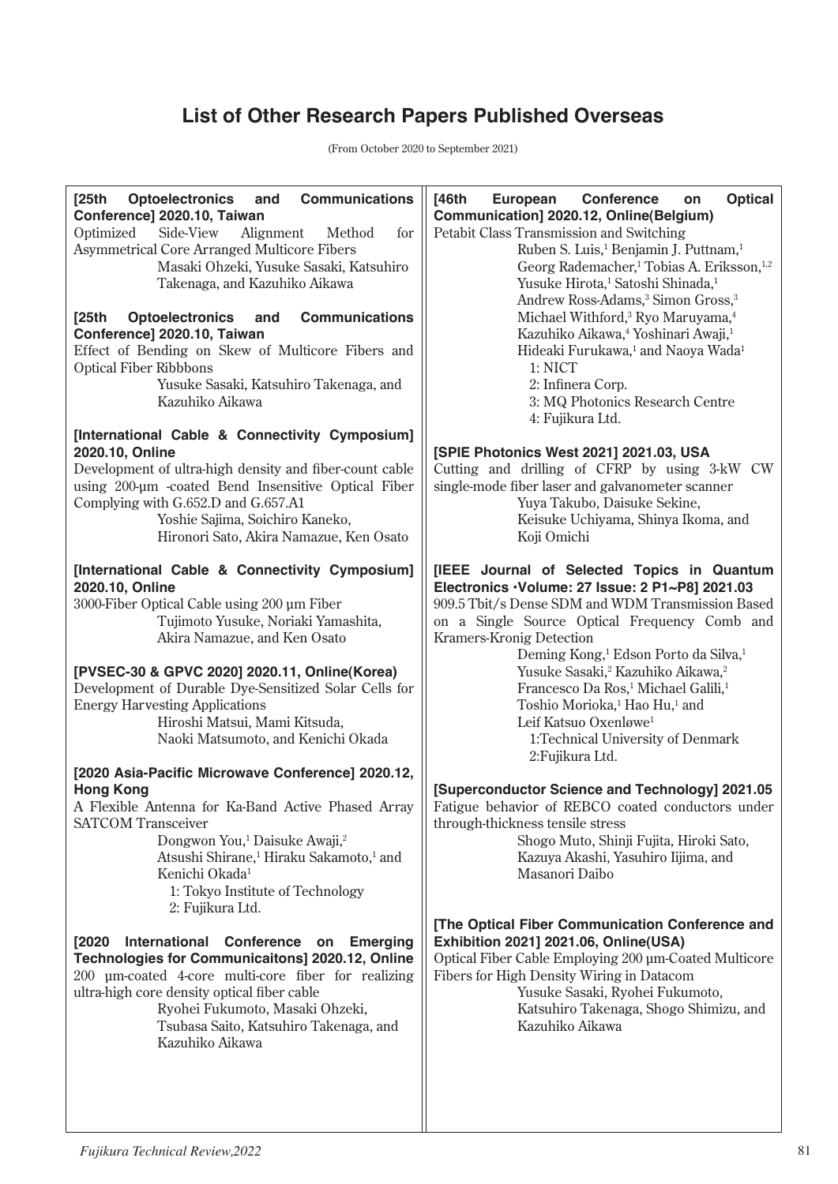# **List of Other Research Papers Published Overseas**

(From October 2020 to September 2021)

| <b>Communications</b><br>[25th]<br><b>Optoelectronics</b><br>and<br>Conference] 2020.10, Taiwan<br>Optimized<br>Side-View<br>Alignment<br>Method<br>for<br><b>Asymmetrical Core Arranged Multicore Fibers</b><br>Masaki Ohzeki, Yusuke Sasaki, Katsuhiro<br>Takenaga, and Kazuhiko Aikawa                             | [46th]<br><b>Optical</b><br><b>Conference</b><br>European<br>on<br>Communication] 2020.12, Online(Belgium)<br>Petabit Class Transmission and Switching<br>Ruben S. Luis, <sup>1</sup> Benjamin J. Puttnam, <sup>1</sup><br>Georg Rademacher, <sup>1</sup> Tobias A. Eriksson, <sup>1,2</sup><br>Yusuke Hirota, <sup>1</sup> Satoshi Shinada, <sup>1</sup><br>Andrew Ross-Adams, <sup>3</sup> Simon Gross, <sup>3</sup> |
|-----------------------------------------------------------------------------------------------------------------------------------------------------------------------------------------------------------------------------------------------------------------------------------------------------------------------|------------------------------------------------------------------------------------------------------------------------------------------------------------------------------------------------------------------------------------------------------------------------------------------------------------------------------------------------------------------------------------------------------------------------|
| <b>Communications</b><br>[25th]<br><b>Optoelectronics</b><br>and<br>Conference] 2020.10, Taiwan<br>Effect of Bending on Skew of Multicore Fibers and<br><b>Optical Fiber Ribbbons</b><br>Yusuke Sasaki, Katsuhiro Takenaga, and<br>Kazuhiko Aikawa                                                                    | Michael Withford, <sup>3</sup> Ryo Maruyama, <sup>4</sup><br>Kazuhiko Aikawa, <sup>4</sup> Yoshinari Awaji, <sup>1</sup><br>Hideaki Furukawa, <sup>1</sup> and Naoya Wada <sup>1</sup><br>1: NICT<br>2: Infinera Corp.<br>3: MQ Photonics Research Centre<br>4: Fujikura Ltd.                                                                                                                                          |
| [International Cable & Connectivity Cymposium]                                                                                                                                                                                                                                                                        |                                                                                                                                                                                                                                                                                                                                                                                                                        |
| 2020.10, Online                                                                                                                                                                                                                                                                                                       | [SPIE Photonics West 2021] 2021.03, USA                                                                                                                                                                                                                                                                                                                                                                                |
| Development of ultra-high density and fiber-count cable<br>using 200-um -coated Bend Insensitive Optical Fiber<br>Complying with G.652.D and G.657.A1<br>Yoshie Sajima, Soichiro Kaneko,<br>Hironori Sato, Akira Namazue, Ken Osato                                                                                   | Cutting and drilling of CFRP by using 3-kW CW<br>single-mode fiber laser and galvanometer scanner<br>Yuya Takubo, Daisuke Sekine,<br>Keisuke Uchiyama, Shinya Ikoma, and<br>Koji Omichi                                                                                                                                                                                                                                |
| [International Cable & Connectivity Cymposium]                                                                                                                                                                                                                                                                        | [IEEE Journal of Selected Topics in Quantum                                                                                                                                                                                                                                                                                                                                                                            |
| 2020.10, Online                                                                                                                                                                                                                                                                                                       | Electronics · Volume: 27 Issue: 2 P1~P8] 2021.03                                                                                                                                                                                                                                                                                                                                                                       |
| 3000-Fiber Optical Cable using 200 µm Fiber                                                                                                                                                                                                                                                                           | 909.5 Tbit/s Dense SDM and WDM Transmission Based                                                                                                                                                                                                                                                                                                                                                                      |
| Tujimoto Yusuke, Noriaki Yamashita,                                                                                                                                                                                                                                                                                   | on a Single Source Optical Frequency Comb and                                                                                                                                                                                                                                                                                                                                                                          |
| Akira Namazue, and Ken Osato                                                                                                                                                                                                                                                                                          | Kramers-Kronig Detection                                                                                                                                                                                                                                                                                                                                                                                               |
| [PVSEC-30 & GPVC 2020] 2020.11, Online(Korea)<br>Development of Durable Dye-Sensitized Solar Cells for<br><b>Energy Harvesting Applications</b><br>Hiroshi Matsui, Mami Kitsuda,<br>Naoki Matsumoto, and Kenichi Okada                                                                                                | Deming Kong, <sup>1</sup> Edson Porto da Silva, <sup>1</sup><br>Yusuke Sasaki, <sup>2</sup> Kazuhiko Aikawa, <sup>2</sup><br>Francesco Da Ros, <sup>1</sup> Michael Galili, <sup>1</sup><br>Toshio Morioka, <sup>1</sup> Hao Hu, <sup>1</sup> and<br>Leif Katsuo Oxenløwe <sup>1</sup><br>1:Technical University of Denmark<br>2: Fujikura Ltd.                                                                        |
| [2020 Asia-Pacific Microwave Conference] 2020.12,                                                                                                                                                                                                                                                                     |                                                                                                                                                                                                                                                                                                                                                                                                                        |
| <b>Hong Kong</b><br>A Flexible Antenna for Ka-Band Active Phased Array<br><b>SATCOM Transceiver</b><br>Dongwon You, <sup>1</sup> Daisuke Awaji, <sup>2</sup><br>Atsushi Shirane, <sup>1</sup> Hiraku Sakamoto, <sup>1</sup> and<br>Kenichi Okada <sup>1</sup><br>1: Tokyo Institute of Technology<br>2: Fujikura Ltd. | [Superconductor Science and Technology] 2021.05<br>Fatigue behavior of REBCO coated conductors under<br>through-thickness tensile stress<br>Shogo Muto, Shinji Fujita, Hiroki Sato,<br>Kazuya Akashi, Yasuhiro Iijima, and<br>Masanori Daibo                                                                                                                                                                           |
|                                                                                                                                                                                                                                                                                                                       | [The Optical Fiber Communication Conference and                                                                                                                                                                                                                                                                                                                                                                        |
| International Conference on<br><b>Emerging</b><br>[2020]<br>Technologies for Communicaitons] 2020.12, Online<br>200 µm-coated 4-core multi-core fiber for realizing<br>ultra-high core density optical fiber cable<br>Ryohei Fukumoto, Masaki Ohzeki,<br>Tsubasa Saito, Katsuhiro Takenaga, and<br>Kazuhiko Aikawa    | Exhibition 2021] 2021.06, Online(USA)<br>Optical Fiber Cable Employing 200 µm-Coated Multicore<br>Fibers for High Density Wiring in Datacom<br>Yusuke Sasaki, Ryohei Fukumoto,<br>Katsuhiro Takenaga, Shogo Shimizu, and<br>Kazuhiko Aikawa                                                                                                                                                                            |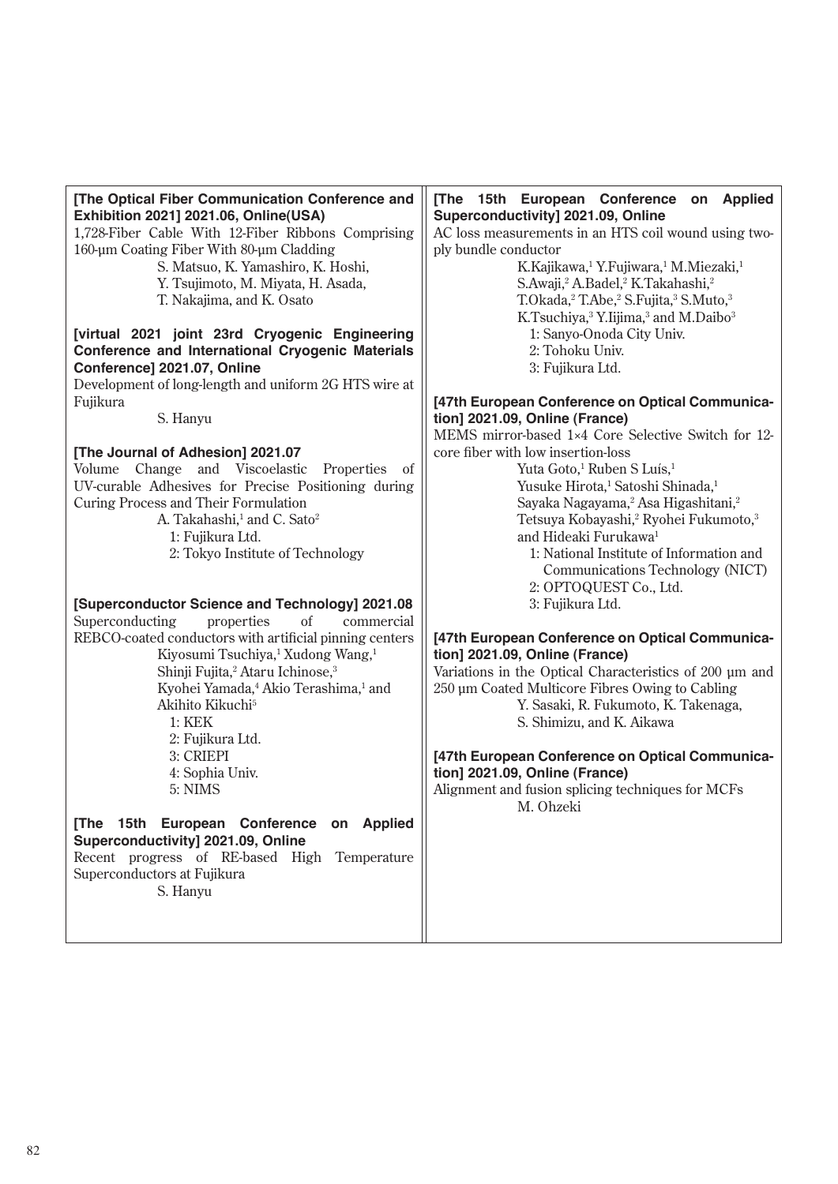| [The Optical Fiber Communication Conference and                                                                                                                                                                                                                                                                                                                                                                                                                                                                                                                                                                                               | [The 15th European Conference on Applied                                                                                                                                                                                                                                                                                                                                                                                                                                  |
|-----------------------------------------------------------------------------------------------------------------------------------------------------------------------------------------------------------------------------------------------------------------------------------------------------------------------------------------------------------------------------------------------------------------------------------------------------------------------------------------------------------------------------------------------------------------------------------------------------------------------------------------------|---------------------------------------------------------------------------------------------------------------------------------------------------------------------------------------------------------------------------------------------------------------------------------------------------------------------------------------------------------------------------------------------------------------------------------------------------------------------------|
| Exhibition 2021] 2021.06, Online(USA)                                                                                                                                                                                                                                                                                                                                                                                                                                                                                                                                                                                                         | Superconductivity] 2021.09, Online                                                                                                                                                                                                                                                                                                                                                                                                                                        |
| 1,728-Fiber Cable With 12-Fiber Ribbons Comprising                                                                                                                                                                                                                                                                                                                                                                                                                                                                                                                                                                                            | AC loss measurements in an HTS coil wound using two-                                                                                                                                                                                                                                                                                                                                                                                                                      |
| 160-μm Coating Fiber With 80-μm Cladding                                                                                                                                                                                                                                                                                                                                                                                                                                                                                                                                                                                                      | ply bundle conductor                                                                                                                                                                                                                                                                                                                                                                                                                                                      |
| S. Matsuo, K. Yamashiro, K. Hoshi,                                                                                                                                                                                                                                                                                                                                                                                                                                                                                                                                                                                                            | K.Kajikawa, <sup>1</sup> Y.Fujiwara, <sup>1</sup> M.Miezaki, <sup>1</sup>                                                                                                                                                                                                                                                                                                                                                                                                 |
| Y. Tsujimoto, M. Miyata, H. Asada,                                                                                                                                                                                                                                                                                                                                                                                                                                                                                                                                                                                                            | S.Awaji, <sup>2</sup> A.Badel, <sup>2</sup> K.Takahashi, <sup>2</sup>                                                                                                                                                                                                                                                                                                                                                                                                     |
| T. Nakajima, and K. Osato                                                                                                                                                                                                                                                                                                                                                                                                                                                                                                                                                                                                                     | T.Okada, <sup>2</sup> T.Abe, <sup>2</sup> S.Fujita, <sup>3</sup> S.Muto, <sup>3</sup>                                                                                                                                                                                                                                                                                                                                                                                     |
| [virtual 2021 joint 23rd Cryogenic Engineering                                                                                                                                                                                                                                                                                                                                                                                                                                                                                                                                                                                                | K.Tsuchiya, <sup>3</sup> Y.Iijima, <sup>3</sup> and M.Daibo <sup>3</sup>                                                                                                                                                                                                                                                                                                                                                                                                  |
| Conference and International Cryogenic Materials                                                                                                                                                                                                                                                                                                                                                                                                                                                                                                                                                                                              | 1: Sanyo-Onoda City Univ.                                                                                                                                                                                                                                                                                                                                                                                                                                                 |
| Conference] 2021.07, Online                                                                                                                                                                                                                                                                                                                                                                                                                                                                                                                                                                                                                   | 2: Tohoku Univ.                                                                                                                                                                                                                                                                                                                                                                                                                                                           |
| Development of long-length and uniform 2G HTS wire at                                                                                                                                                                                                                                                                                                                                                                                                                                                                                                                                                                                         | 3: Fujikura Ltd.                                                                                                                                                                                                                                                                                                                                                                                                                                                          |
| Fujikura                                                                                                                                                                                                                                                                                                                                                                                                                                                                                                                                                                                                                                      | [47th European Conference on Optical Communica-                                                                                                                                                                                                                                                                                                                                                                                                                           |
| S. Hanyu                                                                                                                                                                                                                                                                                                                                                                                                                                                                                                                                                                                                                                      | tion] 2021.09, Online (France)                                                                                                                                                                                                                                                                                                                                                                                                                                            |
| [The Journal of Adhesion] 2021.07                                                                                                                                                                                                                                                                                                                                                                                                                                                                                                                                                                                                             | MEMS mirror-based 1×4 Core Selective Switch for 12-                                                                                                                                                                                                                                                                                                                                                                                                                       |
| Volume Change and Viscoelastic                                                                                                                                                                                                                                                                                                                                                                                                                                                                                                                                                                                                                | core fiber with low insertion-loss                                                                                                                                                                                                                                                                                                                                                                                                                                        |
| Properties                                                                                                                                                                                                                                                                                                                                                                                                                                                                                                                                                                                                                                    | Yuta Goto, <sup>1</sup> Ruben S Luís, <sup>1</sup>                                                                                                                                                                                                                                                                                                                                                                                                                        |
| of                                                                                                                                                                                                                                                                                                                                                                                                                                                                                                                                                                                                                                            | Yusuke Hirota, <sup>1</sup> Satoshi Shinada, <sup>1</sup>                                                                                                                                                                                                                                                                                                                                                                                                                 |
| UV-curable Adhesives for Precise Positioning during                                                                                                                                                                                                                                                                                                                                                                                                                                                                                                                                                                                           | Sayaka Nagayama, <sup>2</sup> Asa Higashitani, <sup>2</sup>                                                                                                                                                                                                                                                                                                                                                                                                               |
| Curing Process and Their Formulation                                                                                                                                                                                                                                                                                                                                                                                                                                                                                                                                                                                                          | Tetsuya Kobayashi, <sup>2</sup> Ryohei Fukumoto, <sup>3</sup>                                                                                                                                                                                                                                                                                                                                                                                                             |
| A. Takahashi, <sup>1</sup> and C. Sato <sup>2</sup>                                                                                                                                                                                                                                                                                                                                                                                                                                                                                                                                                                                           | and Hideaki Furukawa <sup>1</sup>                                                                                                                                                                                                                                                                                                                                                                                                                                         |
| 1: Fujikura Ltd.                                                                                                                                                                                                                                                                                                                                                                                                                                                                                                                                                                                                                              | 1: National Institute of Information and                                                                                                                                                                                                                                                                                                                                                                                                                                  |
| 2: Tokyo Institute of Technology                                                                                                                                                                                                                                                                                                                                                                                                                                                                                                                                                                                                              | Communications Technology (NICT)                                                                                                                                                                                                                                                                                                                                                                                                                                          |
| [Superconductor Science and Technology] 2021.08<br>Superconducting<br>properties<br>of<br>commercial<br>REBCO-coated conductors with artificial pinning centers<br>Kiyosumi Tsuchiya, <sup>1</sup> Xudong Wang, <sup>1</sup><br>Shinji Fujita, <sup>2</sup> Ataru Ichinose, <sup>3</sup><br>Kyohei Yamada, <sup>4</sup> Akio Terashima, <sup>1</sup> and<br>Akihito Kikuchi <sup>5</sup><br>1:KEK<br>2: Fujikura Ltd.<br>3: CRIEPI<br>4: Sophia Univ.<br>5: NIMS<br>[The 15th European Conference on Applied<br>Superconductivity] 2021.09, Online<br>Recent progress of RE-based High Temperature<br>Superconductors at Fujikura<br>S. Hanyu | 2: OPTOQUEST Co., Ltd.<br>3: Fujikura Ltd.<br>[47th European Conference on Optical Communica-<br>tion] 2021.09, Online (France)<br>Variations in the Optical Characteristics of 200 µm and<br>250 µm Coated Multicore Fibres Owing to Cabling<br>Y. Sasaki, R. Fukumoto, K. Takenaga,<br>S. Shimizu, and K. Aikawa<br>[47th European Conference on Optical Communica-<br>tion] 2021.09, Online (France)<br>Alignment and fusion splicing techniques for MCFs<br>M. Ohzeki |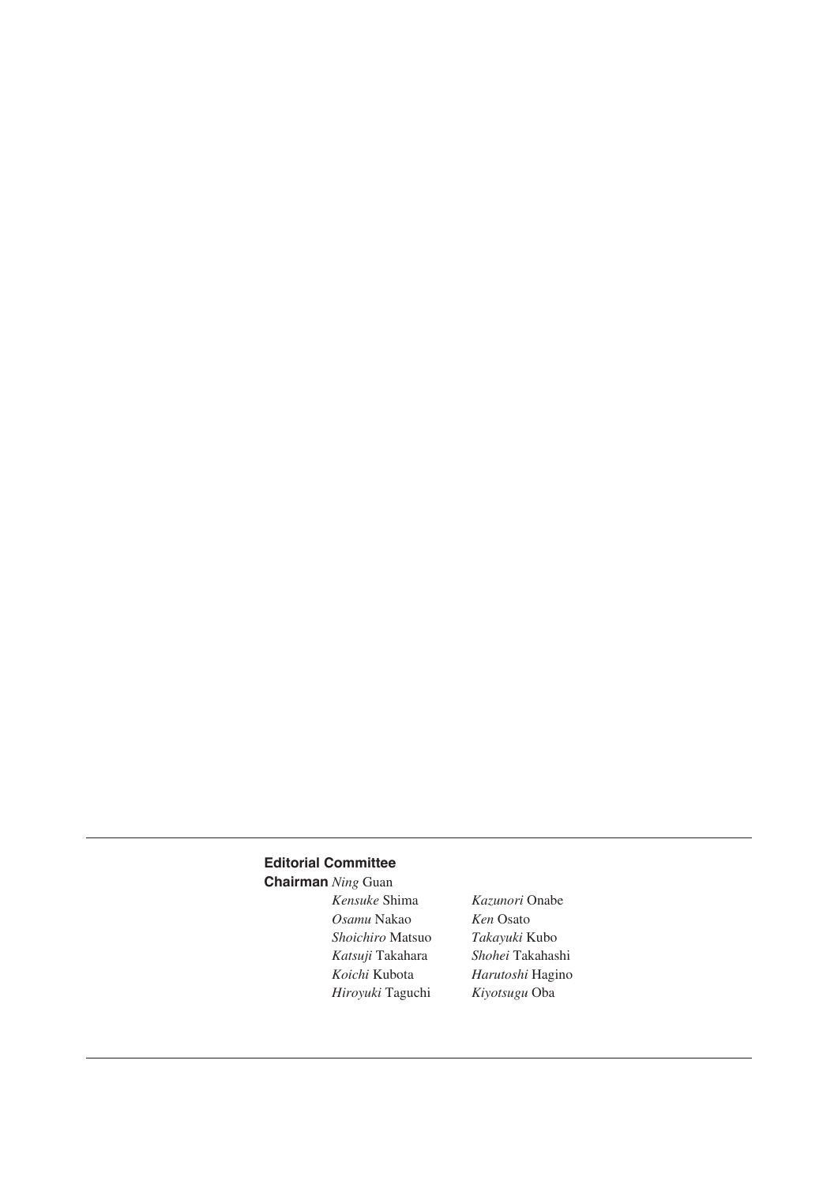## **Editorial Committee**

**Chairman** *Ning* Guan *Kensuke* Shima *Kazunori* Onabe *Osamu* Nakao *Ken* Osato *Shoichiro* Matsuo *Takayuki* Kubo *Katsuji* Takahara *Shohei* Takahashi *Koichi* Kubota *Harutoshi* Hagino *Hiroyuki* Taguchi *Kiyotsugu* Oba